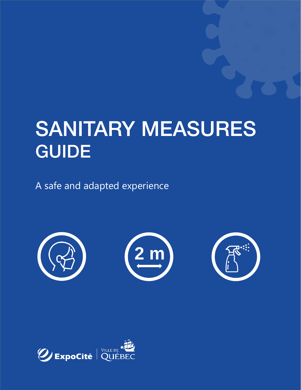# SANITARY MEASURES<br>GUIDE GUIDE

A safe and adapted experience



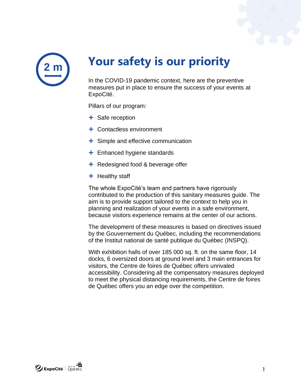

## **Your safety is our priority**

In the COVID-19 pandemic context, here are the preventive measures put in place to ensure the success of your events at ExpoCité.

Pillars of our program:

- $+$  Safe reception
- Contactless environment
- $\div$  Simple and effective communication
- $\pm$  Enhanced hygiene standards
- $\div$  Redesigned food & beverage offer
- $+$  Healthy staff

The whole ExpoCité's team and partners have rigorously contributed to the production of this sanitary measures guide. The aim is to provide support tailored to the context to help you in planning and realization of your events in a safe environment, because visitors experience remains at the center of our actions.

The development of these measures is based on directives issued by the Gouvernement du Québec, including the recommendations of the Institut national de santé publique du Québec (INSPQ).

With exhibition halls of over 185 000 sq. ft. on the same floor, 14 docks, 6 oversized doors at ground level and 3 main entrances for visitors, the Centre de foires de Québec offers unrivaled accessibility. Considering all the compensatory measures deployed to meet the physical distancing requirements, the Centre de foires de Québec offers you an edge over the competition.

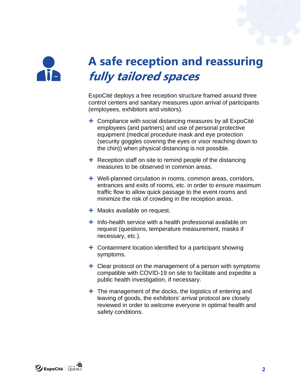

# **A safe reception and reassuring fully tailored spaces**

ExpoCité deploys a free reception structure framed around three control centers and sanitary measures upon arrival of participants (employees, exhibitors and visitors).

- $+$  Compliance with social distancing measures by all ExpoCité employees (and partners) and use of personal protective equipment (medical procedure mask and eye protection (security goggles covering the eyes or visor reaching down to the chin)) when physical distancing is not possible.
- $\pm$  Reception staff on site to remind people of the distancing measures to be observed in common areas.
- Well-planned circulation in rooms, common areas, corridors, entrances and exits of rooms, etc. in order to ensure maximum traffic flow to allow quick passage to the event rooms and minimize the risk of crowding in the reception areas.
- $+$  Masks available on request.
- $+$  Info-health service with a health professional available on request (questions, temperature measurement, masks if necessary, etc.).
- Containment location identified for a participant showing symptoms.
- $+$  Clear protocol on the management of a person with symptoms compatible with COVID-19 on site to facilitate and expedite a public health investigation, if necessary.
- $+$  The management of the docks, the logistics of entering and leaving of goods, the exhibitors' arrival protocol are closely reviewed in order to welcome everyone in optimal health and safety conditions.

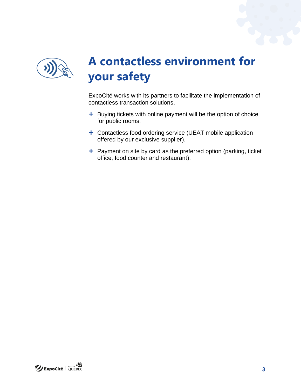

# **A contactless environment for your safety**

ExpoCité works with its partners to facilitate the implementation of contactless transaction solutions.

- + Buying tickets with online payment will be the option of choice for public rooms.
- + Contactless food ordering service (UEAT mobile application offered by our exclusive supplier).
- $+$  Payment on site by card as the preferred option (parking, ticket office, food counter and restaurant).

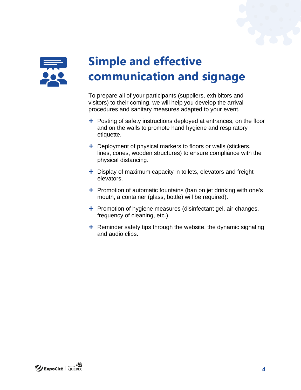

## **Simple and effective communication and signage**

To prepare all of your participants (suppliers, exhibitors and visitors) to their coming, we will help you develop the arrival procedures and sanitary measures adapted to your event.

- $+$  Posting of safety instructions deployed at entrances, on the floor and on the walls to promote hand hygiene and respiratory etiquette.
- $+$  Deployment of physical markers to floors or walls (stickers, lines, cones, wooden structures) to ensure compliance with the physical distancing.
- $+$  Display of maximum capacity in toilets, elevators and freight elevators.
- $\pm$  Promotion of automatic fountains (ban on jet drinking with one's mouth, a container (glass, bottle) will be required).
- $+$  Promotion of hygiene measures (disinfectant gel, air changes, frequency of cleaning, etc.).
- $\pm$  Reminder safety tips through the website, the dynamic signaling and audio clips.

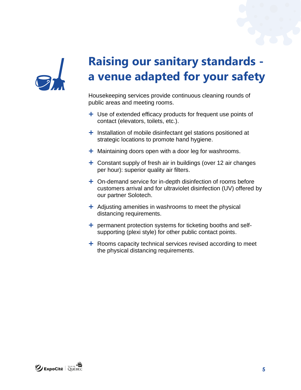

## **Raising our sanitary standards a venue adapted for your safety**

Housekeeping services provide continuous cleaning rounds of public areas and meeting rooms.

- + Use of extended efficacy products for frequent use points of contact (elevators, toilets, etc.).
- $+$  Installation of mobile disinfectant gel stations positioned at strategic locations to promote hand hygiene.
- $+$  Maintaining doors open with a door leg for washrooms.
- Constant supply of fresh air in buildings (over 12 air changes per hour): superior quality air filters.
- On-demand service for in-depth disinfection of rooms before customers arrival and for ultraviolet disinfection (UV) offered by our partner Solotech.
- $+$  Adjusting amenities in washrooms to meet the physical distancing requirements.
- $+$  permanent protection systems for ticketing booths and selfsupporting (plexi style) for other public contact points.
- $+$  Rooms capacity technical services revised according to meet the physical distancing requirements.

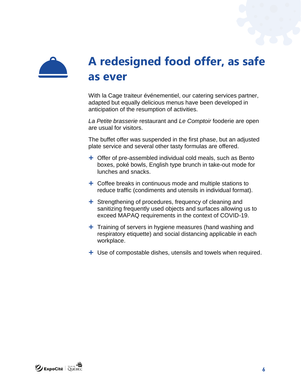

#### **A redesigned food offer, as safe as ever**

With la Cage traiteur événementiel, our catering services partner, adapted but equally delicious menus have been developed in anticipation of the resumption of activities.

*La Petite brasserie* restaurant and *Le Comptoir* fooderie are open are usual for visitors.

The buffet offer was suspended in the first phase, but an adjusted plate service and several other tasty formulas are offered.

- + Offer of pre-assembled individual cold meals, such as Bento boxes, poké bowls, English type brunch in take-out mode for lunches and snacks.
- $+$  Coffee breaks in continuous mode and multiple stations to reduce traffic (condiments and utensils in individual format).
- $+$  Strengthening of procedures, frequency of cleaning and sanitizing frequently used objects and surfaces allowing us to exceed MAPAQ requirements in the context of COVID-19.
- $+$  Training of servers in hygiene measures (hand washing and respiratory etiquette) and social distancing applicable in each workplace.
- + Use of compostable dishes, utensils and towels when required.

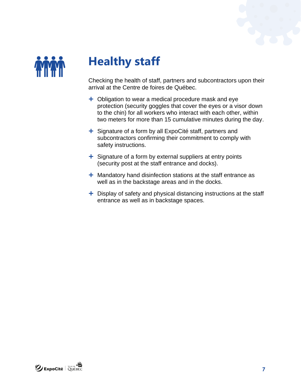

#### **Healthy staff**

Checking the health of staff, partners and subcontractors upon their arrival at the Centre de foires de Québec.

- $+$  Obligation to wear a medical procedure mask and eye protection (security goggles that cover the eyes or a visor down to the chin) for all workers who interact with each other, within two meters for more than 15 cumulative minutes during the day.
- $\div$  Signature of a form by all ExpoCité staff, partners and subcontractors confirming their commitment to comply with safety instructions.
- $+$  Signature of a form by external suppliers at entry points (security post at the staff entrance and docks).
- $+$  Mandatory hand disinfection stations at the staff entrance as well as in the backstage areas and in the docks.
- $+$  Display of safety and physical distancing instructions at the staff entrance as well as in backstage spaces.

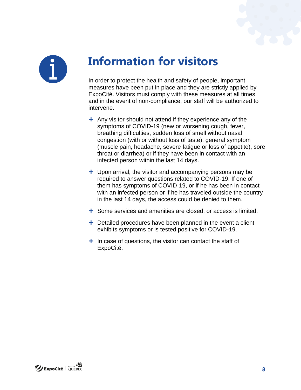



### **Information for visitors**

In order to protect the health and safety of people, important measures have been put in place and they are strictly applied by ExpoCité. Visitors must comply with these measures at all times and in the event of non-compliance, our staff will be authorized to intervene.

- $+$  Any visitor should not attend if they experience any of the symptoms of COVID-19 (new or worsening cough, fever, breathing difficulties, sudden loss of smell without nasal congestion (with or without loss of taste), general symptom (muscle pain, headache, severe fatigue or loss of appetite), sore throat or diarrhea) or if they have been in contact with an infected person within the last 14 days.
- $+$  Upon arrival, the visitor and accompanying persons may be required to answer questions related to COVID-19. If one of them has symptoms of COVID-19, or if he has been in contact with an infected person or if he has traveled outside the country in the last 14 days, the access could be denied to them.
- $+$  Some services and amenities are closed, or access is limited.
- $+$  Detailed procedures have been planned in the event a client exhibits symptoms or is tested positive for COVID-19.
- $+$  In case of questions, the visitor can contact the staff of ExpoCité.